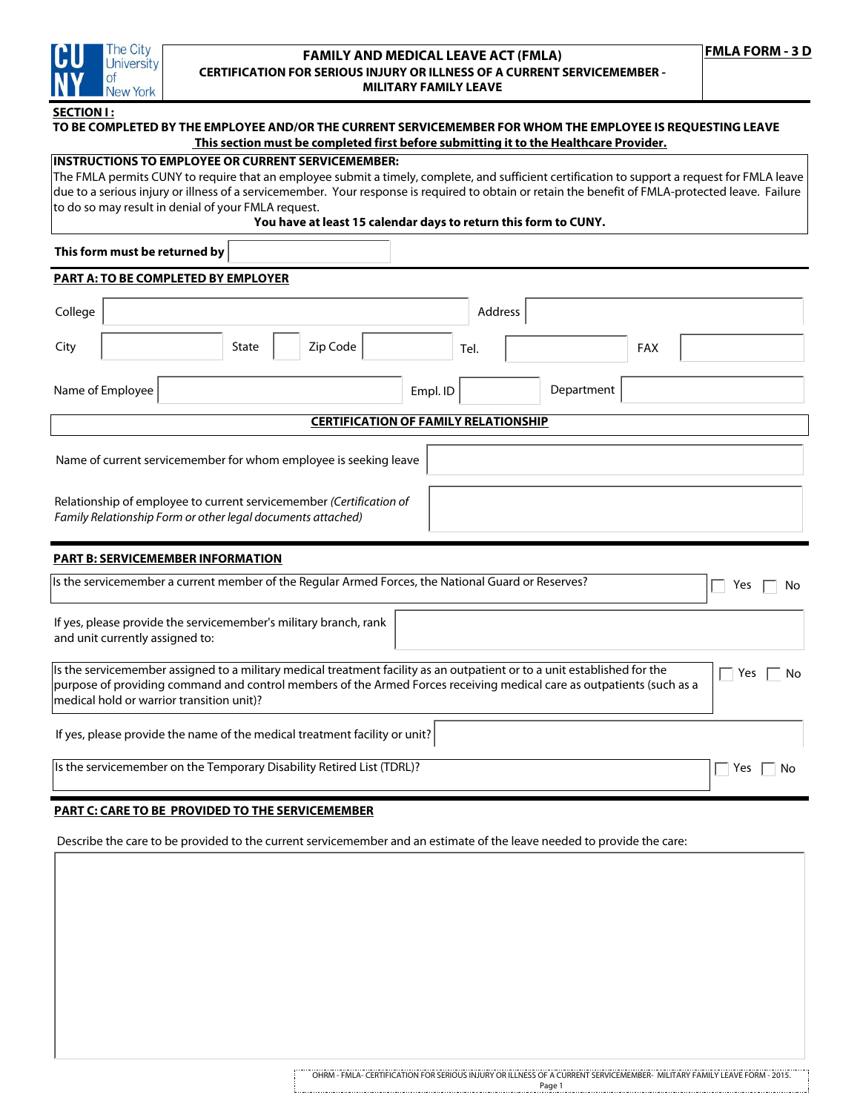

## **FAMILY AND MEDICAL LEAVE ACT (FMLA) CERTIFICATION FOR SERIOUS INJURY OR ILLNESS OF A CURRENT SERVICEMEMBER - MILITARY FAMILY LEAVE**

## **SECTION I :**

# **TO BE COMPLETED BY THE EMPLOYEE AND/OR THE CURRENT SERVICEMEMBER FOR WHOM THE EMPLOYEE IS REQUESTING LEAVE This section must be completed first before submitting it to the Healthcare Provider.**

| INSTRUCTIONS TO EMPLOTEE OR CORRENT SERVICEMEMBER;                                                                                                |
|---------------------------------------------------------------------------------------------------------------------------------------------------|
| The FMLA permits CUNY to require that an employee submit a timely, complete, and sufficient certification to support a request for FMLA leave     |
| due to a serious injury or illness of a servicemember. Your response is required to obtain or retain the benefit of FMLA-protected leave. Failure |
| to do so may result in denial of your FMLA request.                                                                                               |

#### **You have at least 15 calendar days to return this form to CUNY.**

**This form must be returned by**

# **PART A: TO BE COMPLETED BY EMPLOYER** Empl. ID | Department Tel. Address Name of Employee City | State | Zip Code Relationship of employee to current servicemember *(Certification of Family Relationship Form or other legal documents attached)*  Name of current servicemember for whom employee is seeking leave **CERTIFICATION OF FAMILY RELATIONSHIP**  FAX  $\Box$  Yes  $\Box$  No If yes, please provide the servicemember's military branch, rank and unit currently assigned to: Is the servicemember a current member of the Regular Armed Forces, the National Guard or Reserves? **PART B: SERVICEMEMBER INFORMATION** If yes, please provide the name of the medical treatment facility or unit? Is the servicemember assigned to a military medical treatment facility as an outpatient or to a unit established for the  $\square \cap Y$ es  $\square$  No purpose of providing command and control members of the Armed Forces receiving medical care as outpatients (such as a medical hold or warrior transition unit)? College

Is the servicemember on the Temporary Disability Retired List (TDRL)?  $\Box$  Yes  $\Box$  Yes  $\Box$  No

**INSTRUCTION OF EXAMINE APPLICATIONS TO EXAMINE SERVICE SERVICES OF EXAMINENT SERVICE SERVICES OF EXAMINENT SERVICE** 

# **PART C: CARE TO BE PROVIDED TO THE SERVICEMEMBER**

Describe the care to be provided to the current servicemember and an estimate of the leave needed to provide the care: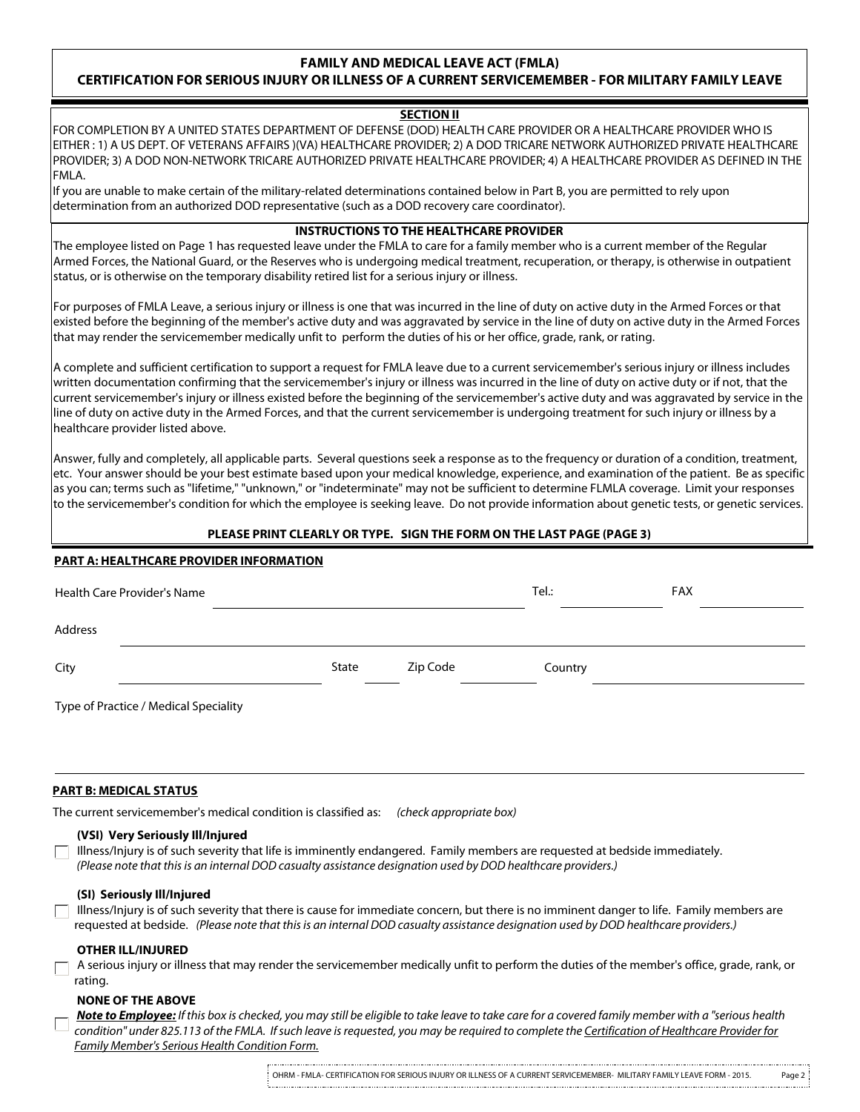# **FAMILY AND MEDICAL LEAVE ACT (FMLA)**

# **CERTIFICATION FOR SERIOUS INJURY OR ILLNESS OF A CURRENT SERVICEMEMBER - FOR MILITARY FAMILY LEAVE**

# **SECTION II**

FOR COMPLETION BY A UNITED STATES DEPARTMENT OF DEFENSE (DOD) HEALTH CARE PROVIDER OR A HEALTHCARE PROVIDER WHO IS EITHER : 1) A US DEPT. OF VETERANS AFFAIRS )(VA) HEALTHCARE PROVIDER; 2) A DOD TRICARE NETWORK AUTHORIZED PRIVATE HEALTHCARE PROVIDER; 3) A DOD NON-NETWORK TRICARE AUTHORIZED PRIVATE HEALTHCARE PROVIDER; 4) A HEALTHCARE PROVIDER AS DEFINED IN THE FMLA.

If you are unable to make certain of the military-related determinations contained below in Part B, you are permitted to rely upon determination from an authorized DOD representative (such as a DOD recovery care coordinator).

#### **INSTRUCTIONS TO THE HEALTHCARE PROVIDER**

The employee listed on Page 1 has requested leave under the FMLA to care for a family member who is a current member of the Regular Armed Forces, the National Guard, or the Reserves who is undergoing medical treatment, recuperation, or therapy, is otherwise in outpatient status, or is otherwise on the temporary disability retired list for a serious injury or illness.

For purposes of FMLA Leave, a serious injury or illness is one that was incurred in the line of duty on active duty in the Armed Forces or that existed before the beginning of the member's active duty and was aggravated by service in the line of duty on active duty in the Armed Forces that may render the servicemember medically unfit to perform the duties of his or her office, grade, rank, or rating.

A complete and sufficient certification to support a request for FMLA leave due to a current servicemember's serious injury or illness includes written documentation confirming that the servicemember's injury or illness was incurred in the line of duty on active duty or if not, that the current servicemember's injury or illness existed before the beginning of the servicemember's active duty and was aggravated by service in the line of duty on active duty in the Armed Forces, and that the current servicemember is undergoing treatment for such injury or illness by a healthcare provider listed above.

Answer, fully and completely, all applicable parts. Several questions seek a response as to the frequency or duration of a condition, treatment, etc. Your answer should be your best estimate based upon your medical knowledge, experience, and examination of the patient. Be as specific as you can; terms such as "lifetime," "unknown," or "indeterminate" may not be sufficient to determine FLMLA coverage. Limit your responses to the servicemember's condition for which the employee is seeking leave. Do not provide information about genetic tests, or genetic services.

# **PLEASE PRINT CLEARLY OR TYPE. SIGN THE FORM ON THE LAST PAGE (PAGE 3)**

### **PART A: HEALTHCARE PROVIDER INFORMATION**

| Health Care Provider's Name           |       |          | Tel.:   | <b>FAX</b> |
|---------------------------------------|-------|----------|---------|------------|
| Address                               |       |          |         |            |
| City                                  | State | Zip Code | Country |            |
| Type of Practice / Medical Speciality |       |          |         |            |
|                                       |       |          |         |            |

### **PART B: MEDICAL STATUS**

The current servicemember's medical condition is classified as: *(check appropriate box)*

# **(VSI) Very Seriously Ill/Injured**

 $\Box$  Illness/Injury is of such severity that life is imminently endangered. Family members are requested at bedside immediately.  *(Please note that this is an internal DOD casualty assistance designation used by DOD healthcare providers.)*

# **(SI) Seriously Ill/Injured**

 $\Box$  Illness/Injury is of such severity that there is cause for immediate concern, but there is no imminent danger to life. Family members are requested at bedside. *(Please note that this is an internal DOD casualty assistance designation used by DOD healthcare providers.)*

## **OTHER ILL/INJURED**

 A serious injury or illness that may render the servicemember medically unfit to perform the duties of the member's office, grade, rank, or rating.

### **NONE OF THE ABOVE**

*Note to Employee: If this box is checked, you may still be eligible to take leave to take care for a covered family member with a "serious health condition" under 825.113 of the FMLA. If such leave is requested, you may be required to complete the Certification of Healthcare Provider for Family Member's Serious Health Condition Form.*